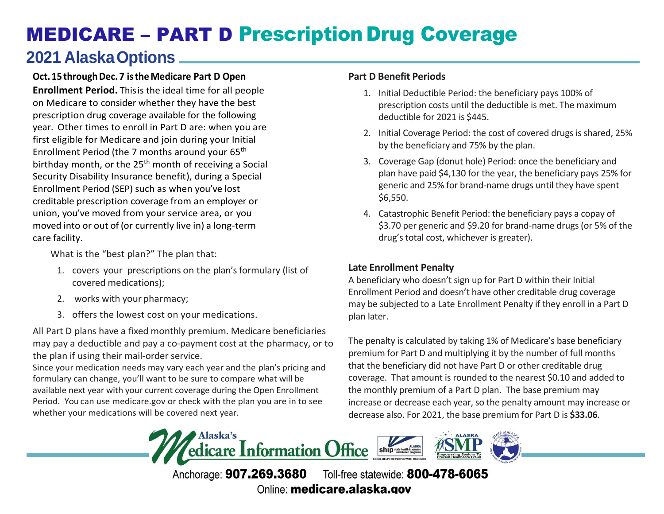# MEDICARE – PART D Prescription Drug Coverage

## **2021 AlaskaOptions**

#### **Oct.15 throughDec. 7 istheMedicare Part D Open**

**Enrollment Period.** Thisis the ideal time for all people on Medicare to consider whether they have the best prescription drug coverage available for the following year. Other times to enroll in Part D are: when you are first eligible for Medicare and join during your Initial Enrollment Period (the 7 months around your 65th birthday month, or the  $25<sup>th</sup>$  month of receiving a Social Security Disability Insurance benefit), during a Special Enrollment Period (SEP) such as when you've lost creditable prescription coverage from an employer or union, you've moved from your service area, or you moved into or out of (or currently live in) a long-term care facility.

What is the "best plan?" The plan that:

- 1. covers your prescriptions on the plan's formulary (list of covered medications);
- 2. works with your pharmacy;
- 3. offers the lowest cost on your medications.

All Part D plans have a fixed monthly premium. Medicare beneficiaries may pay a deductible and pay a co-payment cost at the pharmacy, or to the plan if using their mail-order service.

Since your medication needs may vary each year and the plan's pricing and formulary can change, you'll want to be sure to compare what will be available next year with your current coverage during the Open Enrollment Period. You can use medicare.gov or check with the plan you are in to see whether your medications will be covered next year.

#### **Part D Benefit Periods**

- 1. Initial Deductible Period: the beneficiary pays 100% of prescription costs until the deductible is met. The maximum deductible for 2021 is \$445.
- 2. Initial Coverage Period: the cost of covered drugs is shared, 25% by the beneficiary and 75% by the plan.
- 3. Coverage Gap (donut hole) Period: once the beneficiary and plan have paid \$4,130 for the year, the beneficiary pays 25% for generic and 25% for brand-name drugs until they have spent \$6,550.
- 4. Catastrophic Benefit Period: the beneficiary pays a copay of \$3.70 per generic and \$9.20 for brand-name drugs (or 5% of the drug's total cost, whichever is greater).

#### **Late Enrollment Penalty**

A beneficiary who doesn't sign up for Part D within their Initial Enrollment Period and doesn't have other creditable drug coverage may be subjected to a Late Enrollment Penalty if they enroll in a Part D plan later.

The penalty is calculated by taking 1% of Medicare's base beneficiary premium for Part D and multiplying it by the number of full months that the beneficiary did not have Part D or other creditable drug coverage. That amount is rounded to the nearest \$0.10 and added to the monthly premium of a Part D plan. The base premium may increase or decrease each year, so the penalty amount may increase or decrease also. For 2021, the base premium for Part D is **\$33.06**.



Anchorage: 907.269.3680 Toll-free statewide: 800-478-6065 Online: medicare.alaska.gov